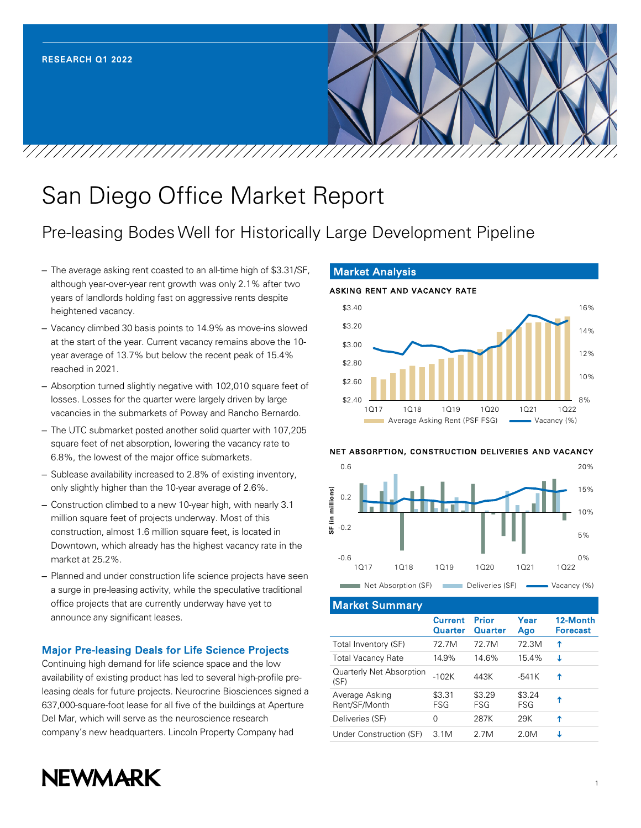# San Diego Office Market Report

# Pre-leasing Bodes Well for Historically Large Development Pipeline

- The average asking rent coasted to an all-time high of \$3.31/SF, although year-over-year rent growth was only 2.1% after two years of landlords holding fast on aggressive rents despite heightened vacancy.
- Vacancy climbed 30 basis points to 14.9% as move-ins slowed at the start of the year. Current vacancy remains above the 10 year average of 13.7% but below the recent peak of 15.4% reached in 2021.
- Absorption turned slightly negative with 102,010 square feet of losses. Losses for the quarter were largely driven by large vacancies in the submarkets of Poway and Rancho Bernardo.
- The UTC submarket posted another solid quarter with 107,205 square feet of net absorption, lowering the vacancy rate to 6.8%, the lowest of the major office submarkets.
- Sublease availability increased to 2.8% of existing inventory, only slightly higher than the 10-year average of 2.6%.
- Construction climbed to a new 10-year high, with nearly 3.1 million square feet of projects underway. Most of this construction, almost 1.6 million square feet, is located in Downtown, which already has the highest vacancy rate in the market at 25.2%.
- Planned and under construction life science projects have seen a surge in pre-leasing activity, while the speculative traditional office projects that are currently underway have yet to announce any significant leases.

# Major Pre-leasing Deals for Life Science Projects

Continuing high demand for life science space and the low availability of existing product has led to several high-profile preleasing deals for future projects. Neurocrine Biosciences signed a 637,000-square-foot lease for all five of the buildings at Aperture Del Mar, which will serve as the neuroscience research company's new headquarters. Lincoln Property Company had

# Market Analysis



#### NET ABSORPTION, CONSTRUCTION DELIVERIES AND VACANCY



Market Summary

| <b>Current</b><br>Quarter | <b>Prior</b><br>Quarter | Year<br>Ago   | 12-Month<br><b>Forecast</b> |
|---------------------------|-------------------------|---------------|-----------------------------|
| 72 7M                     | 72 7M                   | 72.3M         | ↑                           |
| 14.9%                     | 14.6%                   | 15.4%         | J                           |
| $-102K$                   | 443K                    | -541K         | Ϋ                           |
| \$3.31<br>FSG             | \$3.29<br>FSG           | \$3.24<br>FSG | Υ                           |
| 0                         | 287K                    | 29K           | ↑                           |
| 3.1M                      | 2 7M                    | 2 QM          | T                           |
|                           |                         |               |                             |

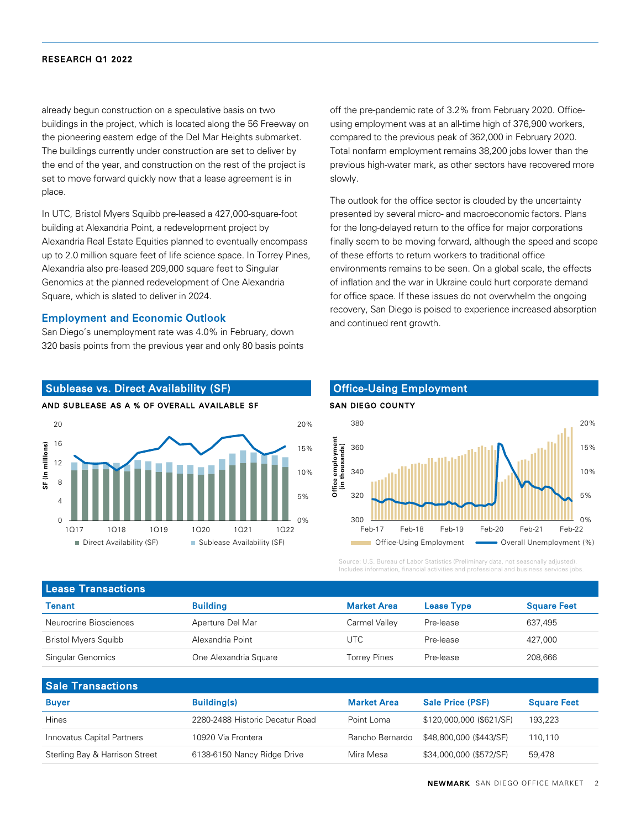already begun construction on a speculative basis on two buildings in the project, which is located along the 56 Freeway on the pioneering eastern edge of the Del Mar Heights submarket. The buildings currently under construction are set to deliver by the end of the year, and construction on the rest of the project is set to move forward quickly now that a lease agreement is in place.

In UTC, Bristol Myers Squibb pre-leased a 427,000-square-foot building at Alexandria Point, a redevelopment project by Alexandria Real Estate Equities planned to eventually encompass up to 2.0 million square feet of life science space. In Torrey Pines, Alexandria also pre-leased 209,000 square feet to Singular Genomics at the planned redevelopment of One Alexandria Square, which is slated to deliver in 2024.

#### Employment and Economic Outlook

San Diego's unemployment rate was 4.0% in February, down 320 basis points from the previous year and only 80 basis points

Sublease vs. Direct Availability (SF)





## off the pre-pandemic rate of 3.2% from February 2020. Officeusing employment was at an all-time high of 376,900 workers, compared to the previous peak of 362,000 in February 2020. Total nonfarm employment remains 38,200 jobs lower than the previous high-water mark, as other sectors have recovered more slowly.

The outlook for the office sector is clouded by the uncertainty presented by several micro- and macroeconomic factors. Plans for the long-delayed return to the office for major corporations finally seem to be moving forward, although the speed and scope of these efforts to return workers to traditional office environments remains to be seen. On a global scale, the effects of inflation and the war in Ukraine could hurt corporate demand for office space. If these issues do not overwhelm the ongoing recovery, San Diego is poised to experience increased absorption and continued rent growth.

# Office-Using Employment



Source: U.S. Bureau of Labor Statistics (Preliminary data, not seasonally adjusted). Includes information, financial activities and professional and business services jobs.

| <b>Lease Transactions</b>   |                       |                     |                   |                    |  |  |  |
|-----------------------------|-----------------------|---------------------|-------------------|--------------------|--|--|--|
| Tenant                      | <b>Building</b>       | <b>Market Area</b>  | <b>Lease Type</b> | <b>Square Feet</b> |  |  |  |
| Neurocrine Biosciences      | Aperture Del Mar      | Carmel Valley       | Pre-lease         | 637,495            |  |  |  |
| <b>Bristol Myers Squibb</b> | Alexandria Point      | UTC                 | Pre-lease         | 427.000            |  |  |  |
| Singular Genomics           | One Alexandria Square | <b>Torrey Pines</b> | Pre-lease         | 208.666            |  |  |  |
|                             |                       |                     |                   |                    |  |  |  |

| <b>Sale Transactions</b>       |                                 |                    |                          |                    |
|--------------------------------|---------------------------------|--------------------|--------------------------|--------------------|
| <b>Buyer</b>                   | <b>Building(s)</b>              | <b>Market Area</b> | <b>Sale Price (PSF)</b>  | <b>Square Feet</b> |
| <b>Hines</b>                   | 2280-2488 Historic Decatur Road | Point Loma         | \$120,000,000 (\$621/SF) | 193,223            |
| Innovatus Capital Partners     | 10920 Via Frontera              | Rancho Bernardo    | \$48,800,000 (\$443/SF)  | 110.110            |
| Sterling Bay & Harrison Street | 6138-6150 Nancy Ridge Drive     | Mira Mesa          | \$34,000,000 (\$572/SF)  | 59.478             |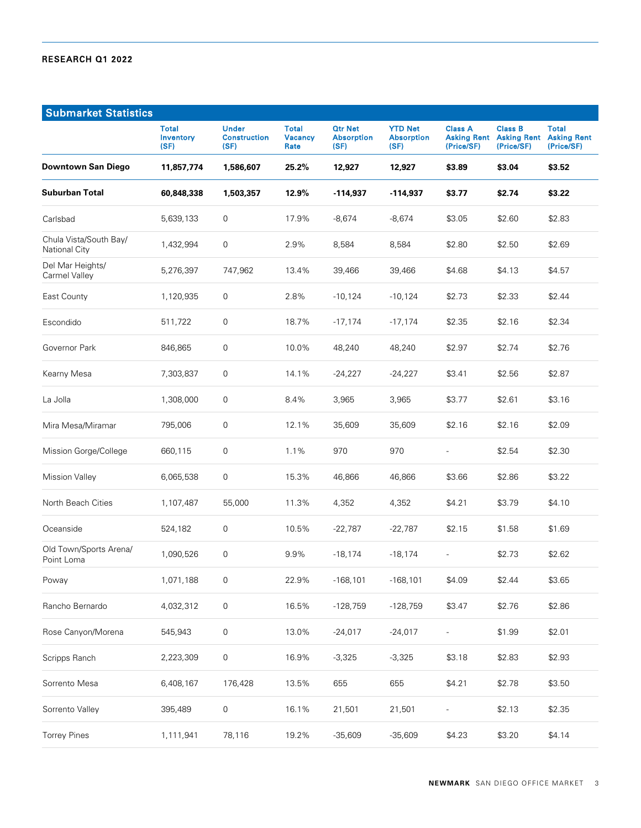| <b>Submarket Statistics</b>                    |                            |                                             |                                        |                                             |                                             |                              |                                                                |                                                  |
|------------------------------------------------|----------------------------|---------------------------------------------|----------------------------------------|---------------------------------------------|---------------------------------------------|------------------------------|----------------------------------------------------------------|--------------------------------------------------|
|                                                | Total<br>Inventory<br>(SF) | <b>Under</b><br><b>Construction</b><br>(SF) | <b>Total</b><br><b>Vacancy</b><br>Rate | <b>Qtr Net</b><br><b>Absorption</b><br>(SF) | <b>YTD Net</b><br><b>Absorption</b><br>(SF) | <b>Class A</b><br>(Price/SF) | <b>Class B</b><br><b>Asking Rent Asking Rent</b><br>(Price/SF) | <b>Total</b><br><b>Asking Rent</b><br>(Price/SF) |
| <b>Downtown San Diego</b>                      | 11,857,774                 | 1,586,607                                   | 25.2%                                  | 12,927                                      | 12,927                                      | \$3.89                       | \$3.04                                                         | \$3.52                                           |
| <b>Suburban Total</b>                          | 60,848,338                 | 1,503,357                                   | 12.9%                                  | $-114,937$                                  | -114,937                                    | \$3.77                       | \$2.74                                                         | \$3.22                                           |
| Carlsbad                                       | 5,639,133                  | 0                                           | 17.9%                                  | $-8,674$                                    | $-8,674$                                    | \$3.05                       | \$2.60                                                         | \$2.83                                           |
| Chula Vista/South Bay/<br><b>National City</b> | 1,432,994                  | 0                                           | 2.9%                                   | 8,584                                       | 8,584                                       | \$2.80                       | \$2.50                                                         | \$2.69                                           |
| Del Mar Heights/<br>Carmel Valley              | 5,276,397                  | 747,962                                     | 13.4%                                  | 39,466                                      | 39,466                                      | \$4.68                       | \$4.13                                                         | \$4.57                                           |
| East County                                    | 1,120,935                  | 0                                           | 2.8%                                   | $-10,124$                                   | $-10,124$                                   | \$2.73                       | \$2.33                                                         | \$2.44                                           |
| Escondido                                      | 511,722                    | $\boldsymbol{0}$                            | 18.7%                                  | $-17,174$                                   | $-17,174$                                   | \$2.35                       | \$2.16                                                         | \$2.34                                           |
| Governor Park                                  | 846,865                    | 0                                           | 10.0%                                  | 48,240                                      | 48,240                                      | \$2.97                       | \$2.74                                                         | \$2.76                                           |
| Kearny Mesa                                    | 7,303,837                  | $\mathbf 0$                                 | 14.1%                                  | $-24,227$                                   | $-24,227$                                   | \$3.41                       | \$2.56                                                         | \$2.87                                           |
| La Jolla                                       | 1,308,000                  | 0                                           | 8.4%                                   | 3,965                                       | 3,965                                       | \$3.77                       | \$2.61                                                         | \$3.16                                           |
| Mira Mesa/Miramar                              | 795,006                    | 0                                           | 12.1%                                  | 35,609                                      | 35,609                                      | \$2.16                       | \$2.16                                                         | \$2.09                                           |
| Mission Gorge/College                          | 660,115                    | 0                                           | 1.1%                                   | 970                                         | 970                                         | $\overline{\phantom{0}}$     | \$2.54                                                         | \$2.30                                           |
| <b>Mission Valley</b>                          | 6,065,538                  | 0                                           | 15.3%                                  | 46,866                                      | 46,866                                      | \$3.66                       | \$2.86                                                         | \$3.22                                           |
| North Beach Cities                             | 1,107,487                  | 55,000                                      | 11.3%                                  | 4,352                                       | 4,352                                       | \$4.21                       | \$3.79                                                         | \$4.10                                           |
| Oceanside                                      | 524,182                    | 0                                           | 10.5%                                  | $-22,787$                                   | $-22,787$                                   | \$2.15                       | \$1.58                                                         | \$1.69                                           |
| Old Town/Sports Arena/<br>Point Loma           | 1,090,526                  | $\boldsymbol{0}$                            | 9.9%                                   | $-18,174$                                   | $-18,174$                                   | $\overline{a}$               | \$2.73                                                         | \$2.62                                           |
| Poway                                          | 1,071,188                  | 0                                           | 22.9%                                  | $-168,101$                                  | $-168, 101$                                 | \$4.09                       | \$2.44                                                         | \$3.65                                           |
| Rancho Bernardo                                | 4,032,312                  | $\mathsf{O}\xspace$                         | 16.5%                                  | $-128,759$                                  | $-128,759$                                  | \$3.47                       | \$2.76                                                         | \$2.86                                           |
| Rose Canyon/Morena                             | 545,943                    | $\mathsf{O}\xspace$                         | 13.0%                                  | $-24,017$                                   | $-24,017$                                   |                              | \$1.99                                                         | \$2.01                                           |
| Scripps Ranch                                  | 2,223,309                  | $\mathsf{O}\xspace$                         | 16.9%                                  | $-3,325$                                    | $-3,325$                                    | \$3.18                       | \$2.83                                                         | \$2.93                                           |
| Sorrento Mesa                                  | 6,408,167                  | 176,428                                     | 13.5%                                  | 655                                         | 655                                         | \$4.21                       | \$2.78                                                         | \$3.50                                           |
| Sorrento Valley                                | 395,489                    | 0                                           | 16.1%                                  | 21,501                                      | 21,501                                      |                              | \$2.13                                                         | \$2.35                                           |
| <b>Torrey Pines</b>                            | 1,111,941                  | 78,116                                      | 19.2%                                  | $-35,609$                                   | $-35,609$                                   | \$4.23                       | \$3.20                                                         | \$4.14                                           |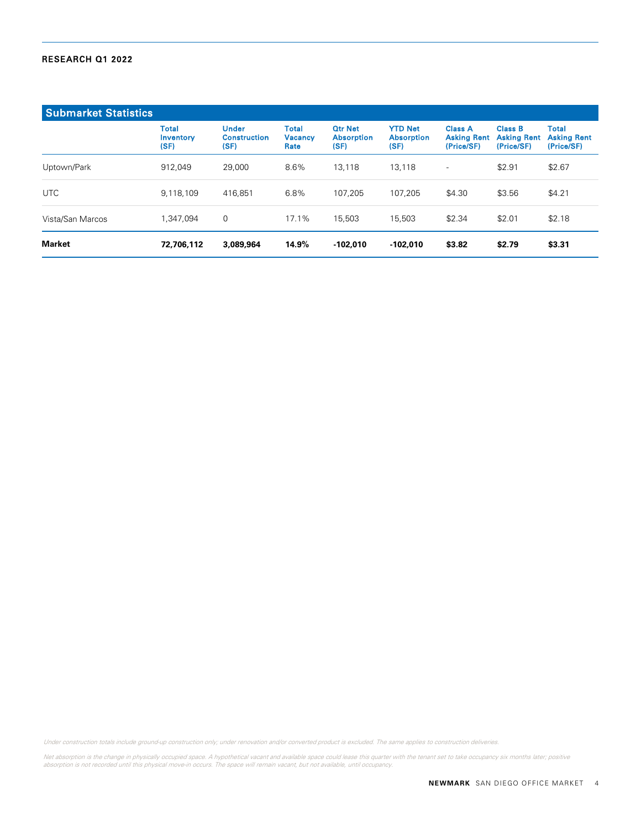| <b>Submarket Statistics</b> |                                   |                                             |                                        |                                             |                                             |                                                    |                                                    |                                           |
|-----------------------------|-----------------------------------|---------------------------------------------|----------------------------------------|---------------------------------------------|---------------------------------------------|----------------------------------------------------|----------------------------------------------------|-------------------------------------------|
|                             | <b>Total</b><br>Inventory<br>(SF) | <b>Under</b><br><b>Construction</b><br>(SF) | <b>Total</b><br><b>Vacancy</b><br>Rate | <b>Otr Net</b><br><b>Absorption</b><br>(SF) | <b>YTD Net</b><br><b>Absorption</b><br>(SF) | <b>Class A</b><br><b>Asking Rent</b><br>(Price/SF) | <b>Class B</b><br><b>Asking Rent</b><br>(Price/SF) | Total<br><b>Asking Rent</b><br>(Price/SF) |
| Uptown/Park                 | 912.049                           | 29,000                                      | 8.6%                                   | 13.118                                      | 13.118                                      | $\qquad \qquad -$                                  | \$2.91                                             | \$2.67                                    |
| UTC                         | 9,118,109                         | 416.851                                     | 6.8%                                   | 107.205                                     | 107.205                                     | \$4.30                                             | \$3.56                                             | \$4.21                                    |
| Vista/San Marcos            | 1.347.094                         | 0                                           | 17.1%                                  | 15,503                                      | 15,503                                      | \$2.34                                             | \$2.01                                             | \$2.18                                    |
| <b>Market</b>               | 72,706,112                        | 3,089,964                                   | 14.9%                                  | $-102,010$                                  | $-102,010$                                  | \$3.82                                             | \$2.79                                             | \$3.31                                    |

Under construction totals include ground-up construction only; under renovation and/or converted product is excluded. The same applies to construction deliveries.

Net absorption is the change in physically occupied space. A hypothetical vacant and available space could lease this quarter with the tenant set to take occupancy six months later; positive<br>absorption is not recorded unti